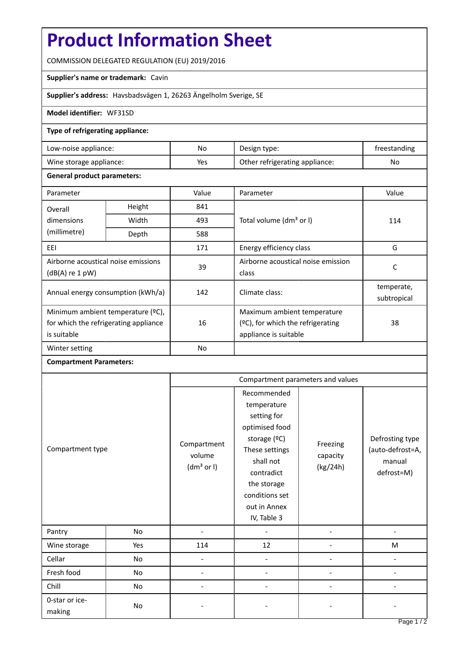# **Product Information Sheet**

COMMISSION DELEGATED REGULATION (EU) 2019/2016

### **Supplier's name or trademark:** Cavin

**Supplier's address:** Havsbadsvägen 1, 26263 Ängelholm Sverige, SE

#### **Model identifier:** WF31SD

### **Type of refrigerating appliance:**

| Low-noise appliance:    | No  | Design type:                   | treestanding |
|-------------------------|-----|--------------------------------|--------------|
| Wine storage appliance: | Yes | Other refrigerating appliance: | No           |

### **General product parameters:**

| Parameter                                                                                 |               | Value     | Parameter                                                                                    | Value                     |
|-------------------------------------------------------------------------------------------|---------------|-----------|----------------------------------------------------------------------------------------------|---------------------------|
| Overall                                                                                   | Height<br>841 |           |                                                                                              |                           |
| dimensions<br>(millimetre)                                                                | Width         | 493       | Total volume (dm <sup>3</sup> or I)                                                          | 114                       |
|                                                                                           | Depth         | 588       |                                                                                              |                           |
| EEI                                                                                       |               | 171       | Energy efficiency class                                                                      | G                         |
| Airborne acoustical noise emissions<br>$(dB(A)$ re 1 pW)                                  |               | 39        | Airborne acoustical noise emission<br>class                                                  | C                         |
| Annual energy consumption (kWh/a)                                                         |               | 142       | Climate class:                                                                               | temperate,<br>subtropical |
| Minimum ambient temperature (°C),<br>for which the refrigerating appliance<br>is suitable |               | 16        | Maximum ambient temperature<br>$(2C)$ , for which the refrigerating<br>appliance is suitable | 38                        |
| Winter setting                                                                            |               | <b>No</b> |                                                                                              |                           |

## **Compartment Parameters:**

| Compartment type         |     | Compartment parameters and values               |                                                                                                                                                                                          |                                  |                                                             |
|--------------------------|-----|-------------------------------------------------|------------------------------------------------------------------------------------------------------------------------------------------------------------------------------------------|----------------------------------|-------------------------------------------------------------|
|                          |     | Compartment<br>volume<br>(dm <sup>3</sup> or I) | Recommended<br>temperature<br>setting for<br>optimised food<br>storage (ºC)<br>These settings<br>shall not<br>contradict<br>the storage<br>conditions set<br>out in Annex<br>IV, Table 3 | Freezing<br>capacity<br>(kg/24h) | Defrosting type<br>(auto-defrost=A,<br>manual<br>defrost=M) |
| Pantry                   | No  |                                                 |                                                                                                                                                                                          |                                  |                                                             |
| Wine storage             | Yes | 114                                             | 12                                                                                                                                                                                       |                                  | M                                                           |
| Cellar                   | No  |                                                 |                                                                                                                                                                                          |                                  |                                                             |
| Fresh food               | No  |                                                 |                                                                                                                                                                                          |                                  |                                                             |
| Chill                    | No  |                                                 |                                                                                                                                                                                          |                                  |                                                             |
| 0-star or ice-<br>making | No  |                                                 |                                                                                                                                                                                          |                                  |                                                             |